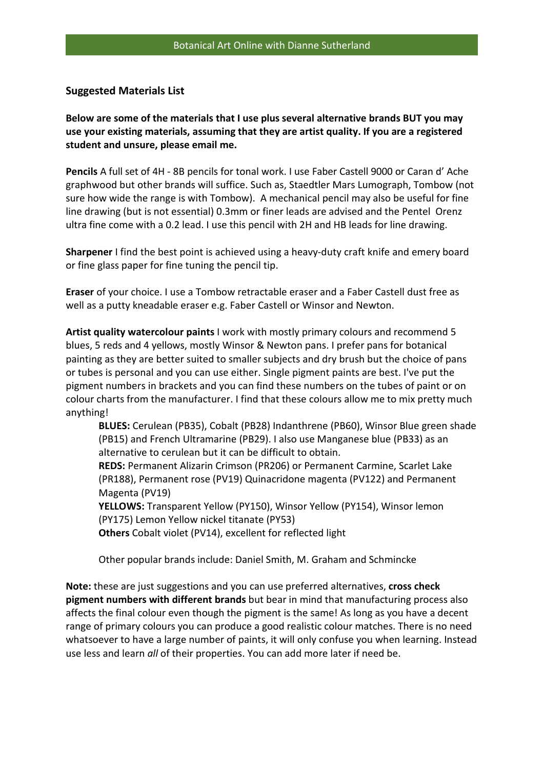## **Suggested Materials List**

**Below are some of the materials that I use plus several alternative brands BUT you may use your existing materials, assuming that they are artist quality. If you are a registered student and unsure, please email me.** 

**Pencils** A full set of 4H - 8B pencils for tonal work. I use Faber Castell 9000 or Caran d' Ache graphwood but other brands will suffice. Such as, Staedtler Mars Lumograph, Tombow (not sure how wide the range is with Tombow). A mechanical pencil may also be useful for fine line drawing (but is not essential) 0.3mm or finer leads are advised and the Pentel Orenz ultra fine come with a 0.2 lead. I use this pencil with 2H and HB leads for line drawing.

**Sharpener** I find the best point is achieved using a heavy-duty craft knife and emery board or fine glass paper for fine tuning the pencil tip.

**Eraser** of your choice. I use a Tombow retractable eraser and a Faber Castell dust free as well as a putty kneadable eraser e.g. Faber Castell or Winsor and Newton.

**Artist quality watercolour paints** I work with mostly primary colours and recommend 5 blues, 5 reds and 4 yellows, mostly Winsor & Newton pans. I prefer pans for botanical painting as they are better suited to smaller subjects and dry brush but the choice of pans or tubes is personal and you can use either. Single pigment paints are best. I've put the pigment numbers in brackets and you can find these numbers on the tubes of paint or on colour charts from the manufacturer. I find that these colours allow me to mix pretty much anything!

**BLUES:** Cerulean (PB35), Cobalt (PB28) Indanthrene (PB60), Winsor Blue green shade (PB15) and French Ultramarine (PB29). I also use Manganese blue (PB33) as an alternative to cerulean but it can be difficult to obtain.

**REDS:** Permanent Alizarin Crimson (PR206) or Permanent Carmine, Scarlet Lake (PR188), Permanent rose (PV19) Quinacridone magenta (PV122) and Permanent Magenta (PV19)

**YELLOWS:** Transparent Yellow (PY150), Winsor Yellow (PY154), Winsor lemon (PY175) Lemon Yellow nickel titanate (PY53)

**Others** Cobalt violet (PV14), excellent for reflected light

Other popular brands include: Daniel Smith, M. Graham and Schmincke

**Note:** these are just suggestions and you can use preferred alternatives, **cross check pigment numbers with different brands** but bear in mind that manufacturing process also affects the final colour even though the pigment is the same! As long as you have a decent range of primary colours you can produce a good realistic colour matches. There is no need whatsoever to have a large number of paints, it will only confuse you when learning. Instead use less and learn *all* of their properties. You can add more later if need be.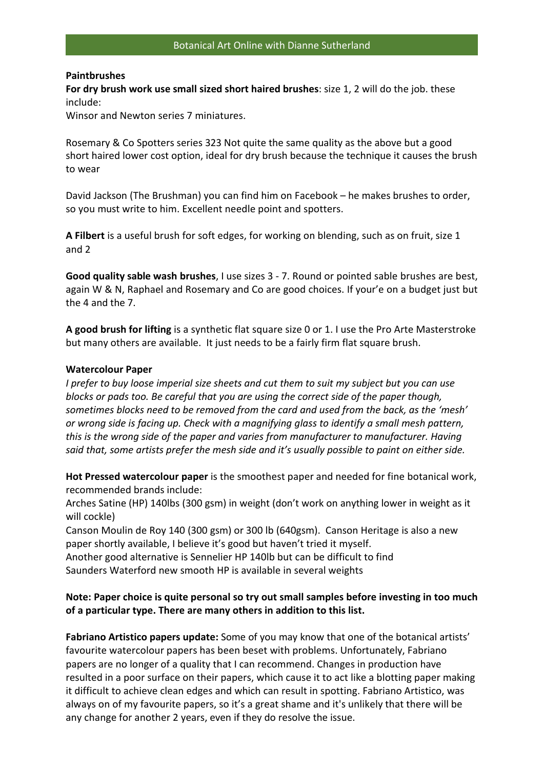## **Paintbrushes**

**For dry brush work use small sized short haired brushes**: size 1, 2 will do the job. these include:

Winsor and Newton series 7 miniatures.

Rosemary & Co Spotters series 323 Not quite the same quality as the above but a good short haired lower cost option, ideal for dry brush because the technique it causes the brush to wear

David Jackson (The Brushman) you can find him on Facebook – he makes brushes to order, so you must write to him. Excellent needle point and spotters.

**A Filbert** is a useful brush for soft edges, for working on blending, such as on fruit, size 1 and 2

**Good quality sable wash brushes**, I use sizes 3 - 7. Round or pointed sable brushes are best, again W & N, Raphael and Rosemary and Co are good choices. If your'e on a budget just but the 4 and the 7.

**A good brush for lifting** is a synthetic flat square size 0 or 1. I use the Pro Arte Masterstroke but many others are available. It just needs to be a fairly firm flat square brush.

## **Watercolour Paper**

*I prefer to buy loose imperial size sheets and cut them to suit my subject but you can use blocks or pads too. Be careful that you are using the correct side of the paper though, sometimes blocks need to be removed from the card and used from the back, as the 'mesh' or wrong side is facing up. Check with a magnifying glass to identify a small mesh pattern, this is the wrong side of the paper and varies from manufacturer to manufacturer. Having said that, some artists prefer the mesh side and it's usually possible to paint on either side.* 

**Hot Pressed watercolour paper** is the smoothest paper and needed for fine botanical work, recommended brands include:

Arches Satine (HP) 140lbs (300 gsm) in weight (don't work on anything lower in weight as it will cockle)

Canson Moulin de Roy 140 (300 gsm) or 300 lb (640gsm). Canson Heritage is also a new paper shortly available, I believe it's good but haven't tried it myself.

Another good alternative is Sennelier HP 140lb but can be difficult to find Saunders Waterford new smooth HP is available in several weights

## **Note: Paper choice is quite personal so try out small samples before investing in too much of a particular type. There are many others in addition to this list.**

**Fabriano Artistico papers update:** Some of you may know that one of the botanical artists' favourite watercolour papers has been beset with problems. Unfortunately, Fabriano papers are no longer of a quality that I can recommend. Changes in production have resulted in a poor surface on their papers, which cause it to act like a blotting paper making it difficult to achieve clean edges and which can result in spotting. Fabriano Artistico, was always on of my favourite papers, so it's a great shame and it's unlikely that there will be any change for another 2 years, even if they do resolve the issue.